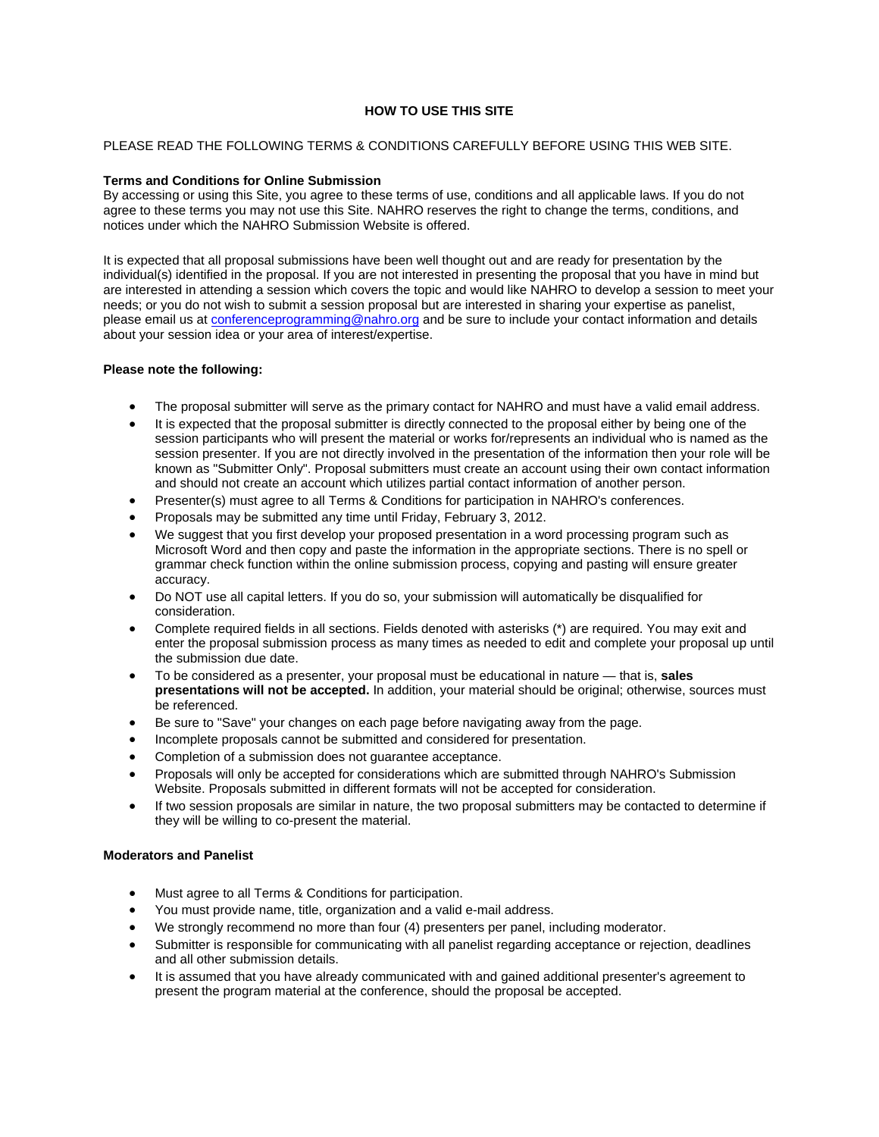# **HOW TO USE THIS SITE**

## PLEASE READ THE FOLLOWING TERMS & CONDITIONS CAREFULLY BEFORE USING THIS WEB SITE.

### **Terms and Conditions for Online Submission**

By accessing or using this Site, you agree to these terms of use, conditions and all applicable laws. If you do not agree to these terms you may not use this Site. NAHRO reserves the right to change the terms, conditions, and notices under which the NAHRO Submission Website is offered.

It is expected that all proposal submissions have been well thought out and are ready for presentation by the individual(s) identified in the proposal. If you are not interested in presenting the proposal that you have in mind but are interested in attending a session which covers the topic and would like NAHRO to develop a session to meet your needs; or you do not wish to submit a session proposal but are interested in sharing your expertise as panelist, please email us at conferenceprogramming@nahro.org and be sure to include your contact information and details about your session idea or your area of interest/expertise.

#### **Please note the following:**

- The proposal submitter will serve as the primary contact for NAHRO and must have a valid email address.
- It is expected that the proposal submitter is directly connected to the proposal either by being one of the session participants who will present the material or works for/represents an individual who is named as the session presenter. If you are not directly involved in the presentation of the information then your role will be known as "Submitter Only". Proposal submitters must create an account using their own contact information and should not create an account which utilizes partial contact information of another person.
- Presenter(s) must agree to all Terms & Conditions for participation in NAHRO's conferences.
- Proposals may be submitted any time until Friday, February 3, 2012.
- We suggest that you first develop your proposed presentation in a word processing program such as Microsoft Word and then copy and paste the information in the appropriate sections. There is no spell or grammar check function within the online submission process, copying and pasting will ensure greater accuracy.
- Do NOT use all capital letters. If you do so, your submission will automatically be disqualified for consideration.
- Complete required fields in all sections. Fields denoted with asterisks (\*) are required. You may exit and enter the proposal submission process as many times as needed to edit and complete your proposal up until the submission due date.
- To be considered as a presenter, your proposal must be educational in nature that is, **sales presentations will not be accepted.** In addition, your material should be original; otherwise, sources must be referenced.
- Be sure to "Save" your changes on each page before navigating away from the page.
- Incomplete proposals cannot be submitted and considered for presentation.
- Completion of a submission does not guarantee acceptance.
- Proposals will only be accepted for considerations which are submitted through NAHRO's Submission Website. Proposals submitted in different formats will not be accepted for consideration.
- If two session proposals are similar in nature, the two proposal submitters may be contacted to determine if they will be willing to co-present the material.

#### **Moderators and Panelist**

- Must agree to all Terms & Conditions for participation.
- You must provide name, title, organization and a valid e-mail address.
- We strongly recommend no more than four (4) presenters per panel, including moderator.
- Submitter is responsible for communicating with all panelist regarding acceptance or rejection, deadlines and all other submission details.
- It is assumed that you have already communicated with and gained additional presenter's agreement to present the program material at the conference, should the proposal be accepted.